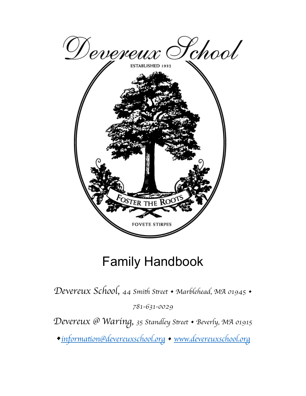

# Family Handbook

Devereux School, 44 Smith Street • Marblehead, MA 01945 •

*781-631-0029*

*Devereux @ Waring, 35 Standley S*t*eet • Beverly, MA 01915*

*•informa*t*[on@devereuxschool.org](mailto:information@devereuxschool.org) • [www.devereuxschool.org](http://www.devereuxschool.org)*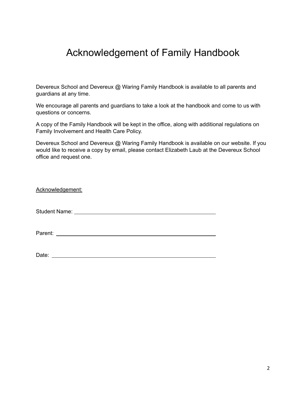### Acknowledgement of Family Handbook

Devereux School and Devereux @ Waring Family Handbook is available to all parents and guardians at any time.

We encourage all parents and guardians to take a look at the handbook and come to us with questions or concerns.

A copy of the Family Handbook will be kept in the office, along with additional regulations on Family Involvement and Health Care Policy.

Devereux School and Devereux @ Waring Family Handbook is available on our website. If you would like to receive a copy by email, please contact Elizabeth Laub at the Devereux School office and request one.

| Acknowledgement: |  |
|------------------|--|
|                  |  |
|                  |  |
| Date:            |  |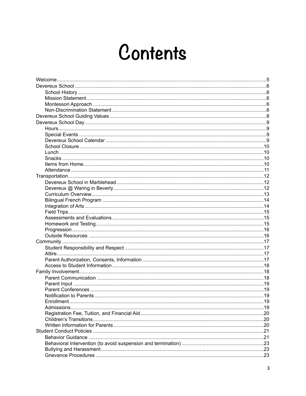# Contents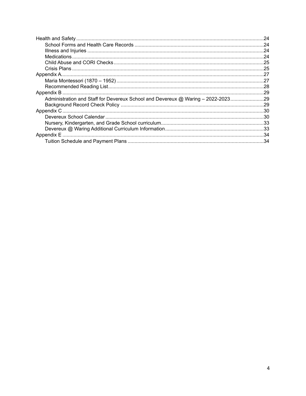| Administration and Staff for Devereux School and Devereux @ Waring - 2022-202329 |  |
|----------------------------------------------------------------------------------|--|
|                                                                                  |  |
|                                                                                  |  |
|                                                                                  |  |
|                                                                                  |  |
|                                                                                  |  |
|                                                                                  |  |
|                                                                                  |  |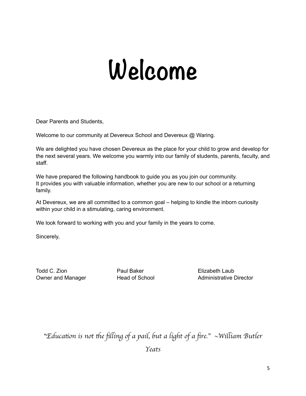# <span id="page-4-0"></span>**Welcome**

Dear Parents and Students,

Welcome to our community at Devereux School and Devereux @ Waring.

We are delighted you have chosen Devereux as the place for your child to grow and develop for the next several years. We welcome you warmly into our family of students, parents, faculty, and staff.

We have prepared the following handbook to guide you as you join our community. It provides you with valuable information, whether you are new to our school or a returning family.

At Devereux, we are all committed to a common goal – helping to kindle the inborn curiosity within your child in a stimulating, caring environment.

We look forward to working with you and your family in the years to come.

Sincerely,

Todd C. Zion **Paul Baker Paul Baker** Elizabeth Laub

Owner and Manager **Head of School** Administrative Director

"*Educa*t*on is not* t*e* fil*ing of a pail, but a light of a* fi*re.*"~*Wi*l*iam Butler Yeats*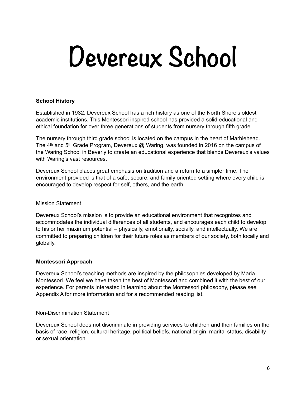# **Devereux School**

#### <span id="page-5-1"></span><span id="page-5-0"></span>**School History**

Established in 1932, Devereux School has a rich history as one of the North Shore's oldest academic institutions. This Montessori inspired school has provided a solid educational and ethical foundation for over three generations of students from nursery through fifth grade.

The nursery through third grade school is located on the campus in the heart of Marblehead. The 4<sup>th</sup> and 5<sup>th</sup> Grade Program, Devereux @ Waring, was founded in 2016 on the campus of the Waring School in Beverly to create an educational experience that blends Devereux's values with Waring's vast resources.

Devereux School places great emphasis on tradition and a return to a simpler time. The environment provided is that of a safe, secure, and family oriented setting where every child is encouraged to develop respect for self, others, and the earth.

#### <span id="page-5-2"></span>Mission Statement

Devereux School's mission is to provide an educational environment that recognizes and accommodates the individual differences of all students, and encourages each child to develop to his or her maximum potential – physically, emotionally, socially, and intellectually. We are committed to preparing children for their future roles as members of our society, both locally and globally.

#### <span id="page-5-3"></span>**Montessori Approach**

Devereux School's teaching methods are inspired by the philosophies developed by Maria Montessori. We feel we have taken the best of Montessori and combined it with the best of our experience. For parents interested in learning about the Montessori philosophy, please see Appendix A for more information and for a recommended reading list.

#### <span id="page-5-4"></span>Non-Discrimination Statement

Devereux School does not discriminate in providing services to children and their families on the basis of race, religion, cultural heritage, political beliefs, national origin, marital status, disability or sexual orientation.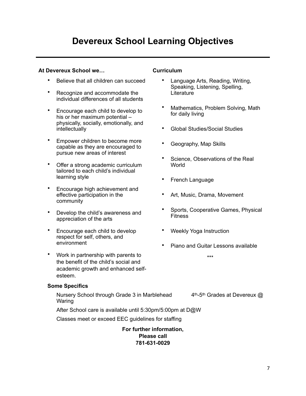### **Devereux School Learning Objectives**

#### **At Devereux School we… Curriculum**

- Believe that all children can succeed
- Recognize and accommodate the individual differences of all students
- Encourage each child to develop to his or her maximum potential – physically, socially, emotionally, and intellectually
- Empower children to become more capable as they are encouraged to pursue new areas of interest
- Offer a strong academic curriculum tailored to each child's individual learning style
- Encourage high achievement and effective participation in the community
- Develop the child's awareness and appreciation of the arts
- Encourage each child to develop respect for self, others, and environment
- Work in partnership with parents to the benefit of the child's social and academic growth and enhanced selfesteem.

#### **Some Specifics**

Nursery School through Grade 3 in Marblehead  $4<sup>th</sup>$ -5<sup>th</sup> Grades at Devereux  $@$ Waring

After School care is available until 5:30pm/5:00pm at D@W

Classes meet or exceed EEC guidelines for staffing

**For further information, Please call 781-631-0029**

- Language Arts, Reading, Writing, Speaking, Listening, Spelling, **Literature**
- Mathematics, Problem Solving, Math for daily living
- Global Studies/Social Studies
- Geography, Map Skills
- Science, Observations of the Real World
- French Language
- Art, Music, Drama, Movement
- Sports, Cooperative Games, Physical Fitness
- Weekly Yoga Instruction
- Piano and Guitar Lessons available

\*\*\*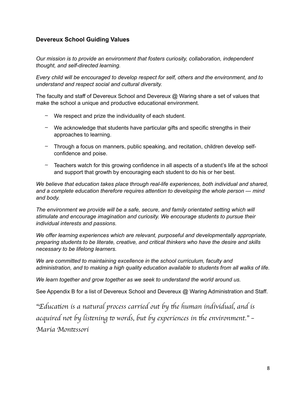#### <span id="page-7-0"></span>**Devereux School Guiding Values**

*Our mission is to provide an environment that fosters curiosity, collaboration, independent thought, and self-directed learning.* 

*Every child will be encouraged to develop respect for self, others and the environment, and to understand and respect social and cultural diversity.* 

The faculty and staff of Devereux School and Devereux @ Waring share a set of values that make the school a unique and productive educational environment.

- ∼ We respect and prize the individuality of each student.
- $\sim$  We acknowledge that students have particular gifts and specific strengths in their approaches to learning.
- ∼ Through a focus on manners, public speaking, and recitation, children develop selfconfidence and poise.
- ∼ Teachers watch for this growing confidence in all aspects of a student's life at the school and support that growth by encouraging each student to do his or her best.

*We believe that education takes place through real-life experiences, both individual and shared, and a complete education therefore requires attention to developing the whole person — mind and body.* 

The environment we provide will be a safe, secure, and family orientated setting which will *stimulate and encourage imagination and curiosity. We encourage students to pursue their individual interests and passions.* 

*We offer learning experiences which are relevant, purposeful and developmentally appropriate, preparing students to be literate, creative, and critical thinkers who have the desire and skills necessary to be lifelong learners.* 

We are committed to maintaining excellence in the school curriculum, faculty and *administration, and to making a high quality education available to students from all walks of life.* 

*We learn together and grow together as we seek to understand the world around us.* 

See Appendix B for a list of Devereux School and Devereux @ Waring Administration and Staff.

"Education is a natural process carried out by the human individual, and is *acquired not by lis*t*ning* t *words, but by experiences in* t*e environment.*" – *Maria Mon*t*ssori*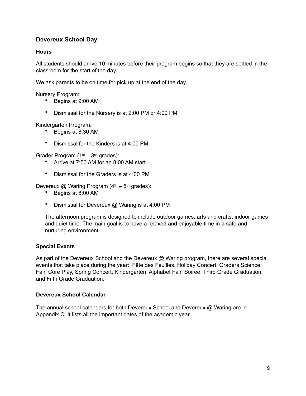#### <span id="page-8-0"></span>**Devereux School Day**

#### <span id="page-8-1"></span>**Hours**

All students should arrive 10 minutes before their program begins so that they are settled in the classroom for the start of the day.

We ask parents to be on time for pick up at the end of the day.

Nursery Program:

- Begins at 9:00 AM
- Dismissal for the Nursery is at 2:00 PM or 4:00 PM

Kindergarten Program:

- Begins at 8:30 AM
- Dismissal for the Kinders is at 4:00 PM

Grader Program (1st – 3rd grades):

- Arrive at 7:50 AM for an 8:00 AM start
- Dismissal for the Graders is at 4:00 PM

Devereux  $@$  Waring Program ( $4<sup>th</sup> - 5<sup>th</sup>$  grades):

- Begins at 8:00 AM
- Dismissal for Devereux @ Waring is at 4:00 PM

The afternoon program is designed to include outdoor games, arts and crafts, indoor games and quiet time. The main goal is to have a relaxed and enjoyable time in a safe and nurturing environment.

#### <span id="page-8-2"></span>**Special Events**

As part of the Devereux School and the Devereux @ Waring program, there are several special events that take place during the year: Fête des Feuilles, Holiday Concert, Graders Science Fair, Core Play, Spring Concert, Kindergarten Alphabet Fair, Soiree, Third Grade Graduation, and Fifth Grade Graduation.

#### <span id="page-8-3"></span>**Devereux School Calendar**

The annual school calendars for both Devereux School and Devereux @ Waring are in Appendix C. It lists all the important dates of the academic year.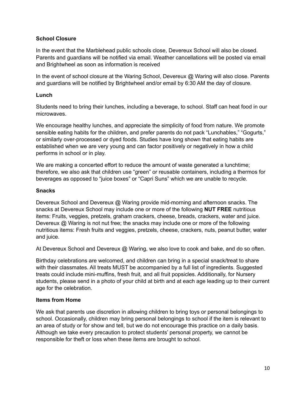#### <span id="page-9-0"></span>**School Closure**

In the event that the Marblehead public schools close, Devereux School will also be closed. Parents and guardians will be notified via email. Weather cancellations will be posted via email and Brightwheel as soon as information is received

In the event of school closure at the Waring School, Devereux @ Waring will also close. Parents and guardians will be notified by Brightwheel and/or email by 6:30 AM the day of closure.

#### <span id="page-9-1"></span>**Lunch**

Students need to bring their lunches, including a beverage, to school. Staff can heat food in our microwaves.

We encourage healthy lunches, and appreciate the simplicity of food from nature. We promote sensible eating habits for the children, and prefer parents do not pack "Lunchables," "Gogurts," or similarly over-processed or dyed foods. Studies have long shown that eating habits are established when we are very young and can factor positively or negatively in how a child performs in school or in play.

We are making a concerted effort to reduce the amount of waste generated a lunchtime; therefore, we also ask that children use "green" or reusable containers, including a thermos for beverages as opposed to "juice boxes" or "Capri Suns" which we are unable to recycle.

#### <span id="page-9-2"></span>**Snacks**

Devereux School and Devereux @ Waring provide mid-morning and afternoon snacks. The snacks at Devereux School may include one or more of the following **NUT FREE** nutritious items: Fruits, veggies, pretzels, graham crackers, cheese, breads, crackers, water and juice. Devereux @ Waring is not nut free; the snacks may include one or more of the following nutritious items: Fresh fruits and veggies, pretzels, cheese, crackers, nuts, peanut butter, water and juice.

At Devereux School and Devereux @ Waring, we also love to cook and bake, and do so often.

Birthday celebrations are welcomed, and children can bring in a special snack/treat to share with their classmates. All treats MUST be accompanied by a full list of ingredients. Suggested treats could include mini-muffins, fresh fruit, and all fruit popsicles. Additionally, for Nursery students, please send in a photo of your child at birth and at each age leading up to their current age for the celebration.

#### <span id="page-9-3"></span>**Items from Home**

We ask that parents use discretion in allowing children to bring toys or personal belongings to school. Occasionally, children may bring personal belongings to school if the item is relevant to an area of study or for show and tell, but we do not encourage this practice on a daily basis. Although we take every precaution to protect students' personal property, we cannot be responsible for theft or loss when these items are brought to school.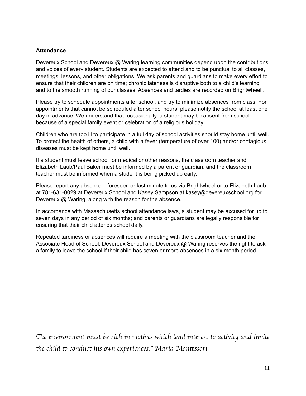#### <span id="page-10-0"></span>**Attendance**

Devereux School and Devereux @ Waring learning communities depend upon the contributions and voices of every student. Students are expected to attend and to be punctual to all classes, meetings, lessons, and other obligations. We ask parents and guardians to make every effort to ensure that their children are on time; chronic lateness is disruptive both to a child's learning and to the smooth running of our classes. Absences and tardies are recorded on Brightwheel .

Please try to schedule appointments after school, and try to minimize absences from class. For appointments that cannot be scheduled after school hours, please notify the school at least one day in advance. We understand that, occasionally, a student may be absent from school because of a special family event or celebration of a religious holiday.

Children who are too ill to participate in a full day of school activities should stay home until well. To protect the health of others, a child with a fever (temperature of over 100) and/or contagious diseases must be kept home until well.

If a student must leave school for medical or other reasons, the classroom teacher and Elizabeth Laub/Paul Baker must be informed by a parent or guardian, and the classroom teacher must be informed when a student is being picked up early.

Please report any absence – foreseen or last minute to us via Brightwheel or to Elizabeth Laub at 781-631-0029 at Devereux School and Kasey Sampson at [kasey@devereuxschool.org](mailto:kasey@devereuxschool.org) for Devereux @ Waring, along with the reason for the absence.

In accordance with Massachusetts school attendance laws, a student may be excused for up to seven days in any period of six months; and parents or guardians are legally responsible for ensuring that their child attends school daily.

Repeated tardiness or absences will require a meeting with the classroom teacher and the Associate Head of School. Devereux School and Devereux @ Waring reserves the right to ask a family to leave the school if their child has seven or more absences in a six month period.

The environment must be rich in motives which lend interest to activity and invite t*e child* t *conduct his own experiences.*" *Maria Mon*t*ssori*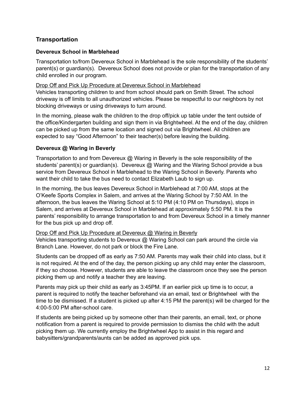#### <span id="page-11-0"></span>**Transportation**

#### <span id="page-11-1"></span>**Devereux School in Marblehead**

Transportation to/from Devereux School in Marblehead is the sole responsibility of the students' parent(s) or guardian(s). Devereux School does not provide or plan for the transportation of any child enrolled in our program.

#### Drop Off and Pick Up Procedure at Devereux School in Marblehead

Vehicles transporting children to and from school should park on Smith Street. The school driveway is off limits to all unauthorized vehicles. Please be respectful to our neighbors by not blocking driveways or using driveways to turn around.

In the morning, please walk the children to the drop off/pick up table under the tent outside of the office/Kindergarten building and sign them in via Brightwheel. At the end of the day, children can be picked up from the same location and signed out via Brightwheel. All children are expected to say "Good Afternoon" to their teacher(s) before leaving the building.

#### <span id="page-11-2"></span>**Devereux @ Waring in Beverly**

Transportation to and from Devereux @ Waring in Beverly is the sole responsibility of the students' parent(s) or guardian(s). Devereux @ Waring and the Waring School provide a bus service from Devereux School in Marblehead to the Waring School in Beverly. Parents who want their child to take the bus need to contact Elizabeth Laub to sign up.

In the morning, the bus leaves Devereux School in Marblehead at 7:00 AM, stops at the O'Keefe Sports Complex in Salem, and arrives at the Waring School by 7:50 AM. In the afternoon, the bus leaves the Waring School at 5:10 PM (4:10 PM on Thursdays), stops in Salem, and arrives at Devereux School in Marblehead at approximately 5:50 PM. It is the parents' responsibility to arrange transportation to and from Devereux School in a timely manner for the bus pick up and drop off.

#### Drop Off and Pick Up Procedure at Devereux @ Waring in Beverly

Vehicles transporting students to Devereux @ Waring School can park around the circle via Branch Lane. However, do not park or block the Fire Lane.

Students can be dropped off as early as 7:50 AM. Parents may walk their child into class, but it is not required. At the end of the day, the person picking up any child may enter the classroom, if they so choose. However, students are able to leave the classroom once they see the person picking them up and notify a teacher they are leaving.

Parents may pick up their child as early as 3:45PM. If an earlier pick up time is to occur, a parent is required to notify the teacher beforehand via an email, text or Brightwheel with the time to be dismissed. If a student is picked up after 4:15 PM the parent(s) will be charged for the 4:00-5:00 PM after-school care.

If students are being picked up by someone other than their parents, an email, text, or phone notification from a parent is required to provide permission to dismiss the child with the adult picking them up. We currently employ the Brightwheel App to assist in this regard and babysitters/grandparents/aunts can be added as approved pick ups.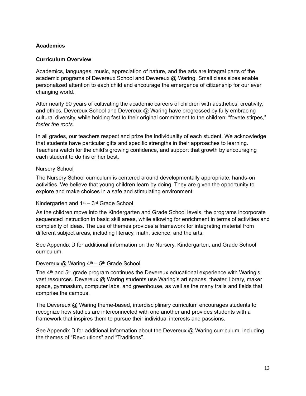#### **Academics**

#### <span id="page-12-0"></span>**Curriculum Overview**

Academics, languages, music, appreciation of nature, and the arts are integral parts of the academic programs of Devereux School and Devereux @ Waring. Small class sizes enable personalized attention to each child and encourage the emergence of citizenship for our ever changing world.

After nearly 90 years of cultivating the academic careers of children with aesthetics, creativity, and ethics, Devereux School and Devereux @ Waring have progressed by fully embracing cultural diversity, while holding fast to their original commitment to the children: "fovete stirpes," *foster the roots*.

In all grades, our teachers respect and prize the individuality of each student. We acknowledge that students have particular gifts and specific strengths in their approaches to learning. Teachers watch for the child's growing confidence, and support that growth by encouraging each student to do his or her best.

#### Nursery School

The Nursery School curriculum is centered around developmentally appropriate, hands-on activities. We believe that young children learn by doing. They are given the opportunity to explore and make choices in a safe and stimulating environment.

#### Kindergarten and 1st – 3rd Grade School

As the children move into the Kindergarten and Grade School levels, the programs incorporate sequenced instruction in basic skill areas, while allowing for enrichment in terms of activities and complexity of ideas. The use of themes provides a framework for integrating material from different subject areas, including literacy, math, science, and the arts.

See Appendix D for additional information on the Nursery, Kindergarten, and Grade School curriculum.

#### Devereux @ Waring 4<sup>th</sup> – 5<sup>th</sup> Grade School

The  $4<sup>th</sup>$  and  $5<sup>th</sup>$  grade program continues the Devereux educational experience with Waring's vast resources. Devereux @ Waring students use Waring's art spaces, theater, library, maker space, gymnasium, computer labs, and greenhouse, as well as the many trails and fields that comprise the campus.

The Devereux @ Waring theme-based, interdisciplinary curriculum encourages students to recognize how studies are interconnected with one another and provides students with a framework that inspires them to pursue their individual interests and passions.

See Appendix D for additional information about the Devereux @ Waring curriculum, including the themes of "Revolutions" and "Traditions".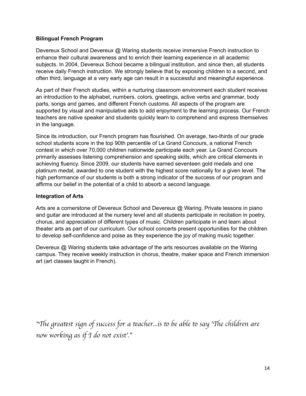#### <span id="page-13-0"></span>**Bilingual French Program**

Devereux School and Devereux @ Waring students receive immersive French instruction to enhance their cultural awareness and to enrich their learning experience in all academic subjects. In 2004, Devereux School became a bilingual institution, and since then, all students receive daily French instruction. We strongly believe that by exposing children to a second, and often third, language at a very early age can result in a successful and meaningful experience.

As part of their French studies, within a nurturing classroom environment each student receives an introduction to the alphabet, numbers, colors, greetings, active verbs and grammar, body parts, songs and games, and different French customs. All aspects of the program are supported by visual and manipulative aids to add enjoyment to the learning process. Our French teachers are native speaker and students quickly learn to comprehend and express themselves in the language.

Since its introduction, our French program has flourished. On average, two-thirds of our grade school students score in the top 90th percentile of Le Grand Concours, a national French contest in which over 70,000 children nationwide participate each year. Le Grand Concours primarily assesses listening comprehension and speaking skills, which are critical elements in achieving fluency. Since 2009, our students have earned seventeen gold medals and one platinum medal, awarded to one student with the highest score nationally for a given level. The high performance of our students is both a strong indicator of the success of our program and affirms our belief in the potential of a child to absorb a second language.

#### <span id="page-13-1"></span>**Integration of Arts**

Arts are a cornerstone of Devereux School and Devereux @ Waring. Private lessons in piano and guitar are introduced at the nursery level and all students participate in recitation in poetry, chorus, and appreciation of different types of music. Children participate in and learn about theater arts as part of our curriculum. Our school concerts present opportunities for the children to develop self-confidence and poise as they experience the joy of making music together.

Devereux @ Waring students take advantage of the arts resources available on the Waring campus. They receive weekly instruction in chorus, theatre, maker space and French immersion art (art classes taught in French).

"The greatest sign of success for a teacher...is to be able to say 'The children are *now working as if I do not exist*'*.*"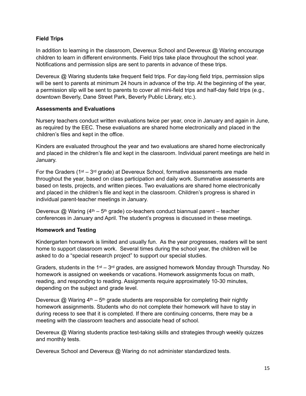#### <span id="page-14-0"></span>**Field Trips**

In addition to learning in the classroom, Devereux School and Devereux @ Waring encourage children to learn in different environments. Field trips take place throughout the school year. Notifications and permission slips are sent to parents in advance of these trips.

Devereux @ Waring students take frequent field trips. For day-long field trips, permission slips will be sent to parents at minimum 24 hours in advance of the trip. At the beginning of the year, a permission slip will be sent to parents to cover all mini-field trips and half-day field trips (e.g., downtown Beverly, Dane Street Park, Beverly Public Library, etc.).

#### <span id="page-14-1"></span>**Assessments and Evaluations**

Nursery teachers conduct written evaluations twice per year, once in January and again in June, as required by the EEC. These evaluations are shared home electronically and placed in the children's files and kept in the office.

Kinders are evaluated throughout the year and two evaluations are shared home electronically and placed in the children's file and kept in the classroom. Individual parent meetings are held in January.

For the Graders ( $1<sup>st</sup> - 3<sup>rd</sup>$  grade) at Devereux School, formative assessments are made throughout the year, based on class participation and daily work. Summative assessments are based on tests, projects, and written pieces. Two evaluations are shared home electronically and placed in the children's file and kept in the classroom. Children's progress is shared in individual parent-teacher meetings in January.

Devereux @ Waring  $(4<sup>th</sup> - 5<sup>th</sup>$  grade) co-teachers conduct biannual parent – teacher conferences in January and April. The student's progress is discussed in these meetings.

#### <span id="page-14-2"></span>**Homework and Testing**

Kindergarten homework is limited and usually fun. As the year progresses, readers will be sent home to support classroom work. Several times during the school year, the children will be asked to do a "special research project" to support our special studies.

Graders, students in the 1<sup>st</sup> – 3<sup>rd</sup> grades, are assigned homework Monday through Thursday. No homework is assigned on weekends or vacations. Homework assignments focus on math, reading, and responding to reading. Assignments require approximately 10-30 minutes, depending on the subject and grade level.

Devereux  $\textcircled{a}$  Waring 4<sup>th</sup> – 5<sup>th</sup> grade students are responsible for completing their nightly homework assignments. Students who do not complete their homework will have to stay in during recess to see that it is completed. If there are continuing concerns, there may be a meeting with the classroom teachers and associate head of school.

Devereux @ Waring students practice test-taking skills and strategies through weekly quizzes and monthly tests.

Devereux School and Devereux @ Waring do not administer standardized tests.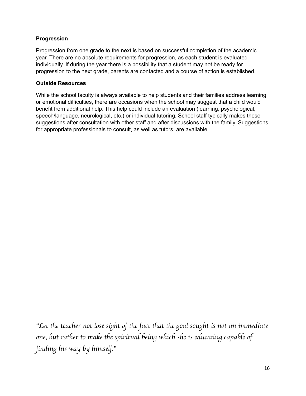#### <span id="page-15-0"></span>**Progression**

Progression from one grade to the next is based on successful completion of the academic year. There are no absolute requirements for progression, as each student is evaluated individually. If during the year there is a possibility that a student may not be ready for progression to the next grade, parents are contacted and a course of action is established.

#### <span id="page-15-1"></span>**Outside Resources**

While the school faculty is always available to help students and their families address learning or emotional difficulties, there are occasions when the school may suggest that a child would benefit from additional help. This help could include an evaluation (learning, psychological, speech/language, neurological, etc.) or individual tutoring. School staff typically makes these suggestions after consultation with other staff and after discussions with the family. Suggestions for appropriate professionals to consult, as well as tutors, are available.

"Let the teacher not lose sight of the fact that the goal sought is not an immediate *one, but rather to make the spiritual being which she is educating capable of* fi*nding his way by himself.*"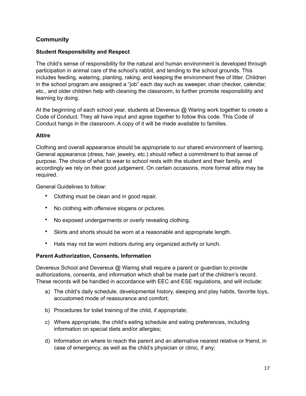#### <span id="page-16-0"></span>**Community**

#### <span id="page-16-1"></span>**Student Responsibility and Respect**

The child's sense of responsibility for the natural and human environment is developed through participation in animal care of the school's rabbit, and tending to the school grounds. This includes feeding, watering, planting, raking, and keeping the environment free of litter. Children in the school program are assigned a "job" each day such as sweeper, chair checker, calendar, etc., and older children help with cleaning the classroom, to further promote responsibility and learning by doing.

At the beginning of each school year, students at Devereux @ Waring work together to create a Code of Conduct. They all have input and agree together to follow this code. This Code of Conduct hangs in the classroom. A copy of it will be made available to families.

#### <span id="page-16-2"></span>**Attire**

Clothing and overall appearance should be appropriate to our shared environment of learning. General appearance (dress, hair, jewelry, etc.) should reflect a commitment to that sense of purpose. The choice of what to wear to school rests with the student and their family, and accordingly we rely on their good judgement. On certain occasions, more formal attire may be required.

General Guidelines to follow:

- Clothing must be clean and in good repair.
- No clothing with offensive slogans or pictures.
- No exposed undergarments or overly revealing clothing.
- Skirts and shorts should be worn at a reasonable and appropriate length.
- Hats may not be worn indoors during any organized activity or lunch.

#### <span id="page-16-3"></span>**Parent Authorization, Consents, Information**

Devereux School and Devereux @ Waring shall require a parent or guardian to provide authorizations, consents, and information which shall be made part of the children's record. These records will be handled in accordance with EEC and ESE regulations, and will include:

- a) The child's daily schedule, developmental history, sleeping and play habits, favorite toys, accustomed mode of reassurance and comfort;
- b) Procedures for toilet training of the child, if appropriate;
- c) Where appropriate, the child's eating schedule and eating preferences, including information on special diets and/or allergies;
- d) Information on where to reach the parent and an alternative nearest relative or friend, in case of emergency, as well as the child's physician or clinic, if any;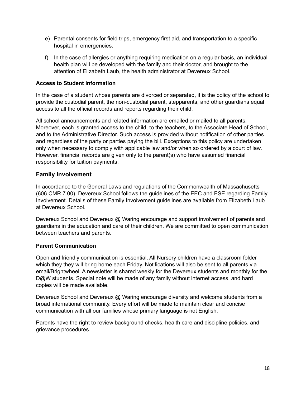- e) Parental consents for field trips, emergency first aid, and transportation to a specific hospital in emergencies.
- f) In the case of allergies or anything requiring medication on a regular basis, an individual health plan will be developed with the family and their doctor, and brought to the attention of Elizabeth Laub, the health administrator at Devereux School.

#### <span id="page-17-0"></span>**Access to Student Information**

In the case of a student whose parents are divorced or separated, it is the policy of the school to provide the custodial parent, the non-custodial parent, stepparents, and other guardians equal access to all the official records and reports regarding their child.

All school announcements and related information are emailed or mailed to all parents. Moreover, each is granted access to the child, to the teachers, to the Associate Head of School, and to the Administrative Director. Such access is provided without notification of other parties and regardless of the party or parties paying the bill. Exceptions to this policy are undertaken only when necessary to comply with applicable law and/or when so ordered by a court of law. However, financial records are given only to the parent(s) who have assumed financial responsibility for tuition payments.

#### <span id="page-17-1"></span>**Family Involvement**

In accordance to the General Laws and regulations of the Commonwealth of Massachusetts (606 CMR 7.00), Devereux School follows the guidelines of the EEC and ESE regarding Family Involvement. Details of these Family Involvement guidelines are available from Elizabeth Laub at Devereux School.

Devereux School and Devereux @ Waring encourage and support involvement of parents and guardians in the education and care of their children. We are committed to open communication between teachers and parents.

#### <span id="page-17-2"></span>**Parent Communication**

Open and friendly communication is essential. All Nursery children have a classroom folder which they they will bring home each Friday. Notifications will also be sent to all parents via email/Brightwheel. A newsletter is shared weekly for the Devereux students and monthly for the D@W students. Special note will be made of any family without internet access, and hard copies will be made available.

Devereux School and Devereux @ Waring encourage diversity and welcome students from a broad international community. Every effort will be made to maintain clear and concise communication with all our families whose primary language is not English.

Parents have the right to review background checks, health care and discipline policies, and grievance procedures.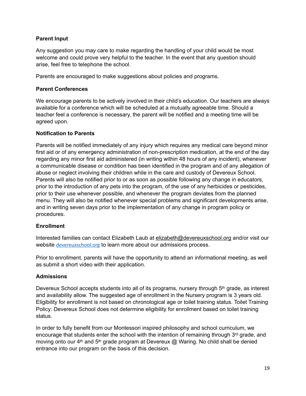#### <span id="page-18-0"></span>**Parent Input**

Any suggestion you may care to make regarding the handling of your child would be most welcome and could prove very helpful to the teacher. In the event that any question should arise, feel free to telephone the school.

Parents are encouraged to make suggestions about policies and programs.

#### <span id="page-18-1"></span>**Parent Conferences**

We encourage parents to be actively involved in their child's education. Our teachers are always available for a conference which will be scheduled at a mutually agreeable time. Should a teacher feel a conference is necessary, the parent will be notified and a meeting time will be agreed upon.

#### <span id="page-18-2"></span>**Notification to Parents**

Parents will be notified immediately of any injury which requires any medical care beyond minor first aid or of any emergency administration of non-prescription medication, at the end of the day regarding any minor first aid administered (in writing within 48 hours of any incident), whenever a communicable disease or condition has been identified in the program and of any allegation of abuse or neglect involving their children while in the care and custody of Devereux School. Parents will also be notified prior to or as soon as possible following any change in educators, prior to the introduction of any pets into the program, of the use of any herbicides or pesticides, prior to their use whenever possible, and whenever the program deviates from the planned menu. They will also be notified whenever special problems and significant developments arise, and in writing seven days prior to the implementation of any change in program policy or procedures.

#### <span id="page-18-3"></span>**Enrollment**

Interested families can contact Elizabeth Laub at [elizabeth@devereuxschool.org](mailto:elizabeth@devereuxschool.org) and/or visit our website [devereuxschool.org](http://devereuxschool.org) to learn more about our admissions process.

Prior to enrollment, parents will have the opportunity to attend an informational meeting, as well as submit a short video with their application.

#### <span id="page-18-4"></span>**Admissions**

Devereux School accepts students into all of its programs, nursery through 5<sup>th</sup> grade, as interest and availability allow. The suggested age of enrollment in the Nursery program is 3 years old. Eligibility for enrollment is not based on chronological age or toilet training status. Toilet Training Policy: Devereux School does not determine eligibility for enrollment based on toilet training status.

In order to fully benefit from our Montessori inspired philosophy and school curriculum, we encourage that students enter the school with the intention of remaining through  $3<sup>rd</sup>$  grade, and moving onto our  $4<sup>th</sup>$  and  $5<sup>th</sup>$  grade program at Devereux  $@$  Waring. No child shall be denied entrance into our program on the basis of this decision.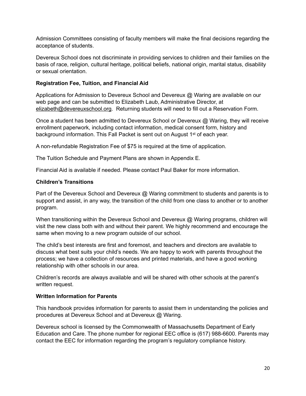Admission Committees consisting of faculty members will make the final decisions regarding the acceptance of students.

Devereux School does not discriminate in providing services to children and their families on the basis of race, religion, cultural heritage, political beliefs, national origin, marital status, disability or sexual orientation.

#### <span id="page-19-0"></span>**Registration Fee, Tuition, and Financial Aid**

Applications for Admission to Devereux School and Devereux @ Waring are available on our web page and can be submitted to Elizabeth Laub, Administrative Director, at [elizabeth@devereuxschool.org](mailto:elizabeth@devereuxschool.org). Returning students will need to fill out a Reservation Form.

Once a student has been admitted to Devereux School or Devereux @ Waring, they will receive enrollment paperwork, including contact information, medical consent form, history and background information. This Fall Packet is sent out on August 1st of each year.

A non-refundable Registration Fee of \$75 is required at the time of application.

The Tuition Schedule and Payment Plans are shown in Appendix E.

Financial Aid is available if needed. Please contact Paul Baker for more information.

#### <span id="page-19-1"></span>**Children's Transitions**

Part of the Devereux School and Devereux @ Waring commitment to students and parents is to support and assist, in any way, the transition of the child from one class to another or to another program.

When transitioning within the Devereux School and Devereux @ Waring programs, children will visit the new class both with and without their parent. We highly recommend and encourage the same when moving to a new program outside of our school.

The child's best interests are first and foremost, and teachers and directors are available to discuss what best suits your child's needs. We are happy to work with parents throughout the process; we have a collection of resources and printed materials, and have a good working relationship with other schools in our area.

Children's records are always available and will be shared with other schools at the parent's written request.

#### <span id="page-19-2"></span>**Written Information for Parents**

This handbook provides information for parents to assist them in understanding the policies and procedures at Devereux School and at Devereux @ Waring.

Devereux school is licensed by the Commonwealth of Massachusetts Department of Early Education and Care. The phone number for regional EEC office is (617) 988-6600. Parents may contact the EEC for information regarding the program's regulatory compliance history.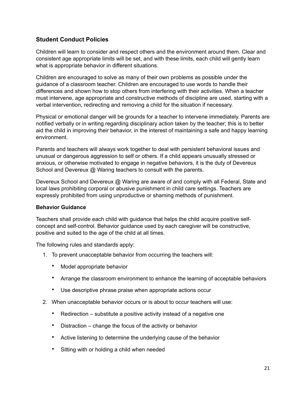#### <span id="page-20-0"></span>**Student Conduct Policies**

Children will learn to consider and respect others and the environment around them. Clear and consistent age appropriate limits will be set, and with these limits, each child will gently learn what is appropriate behavior in different situations.

Children are encouraged to solve as many of their own problems as possible under the guidance of a classroom teacher. Children are encouraged to use words to handle their differences and shown how to stop others from interfering with their activities. When a teacher must intervene, age appropriate and constructive methods of discipline are used, starting with a verbal intervention, redirecting and removing a child for the situation if necessary.

Physical or emotional danger will be grounds for a teacher to intervene immediately. Parents are notified verbally or in writing regarding disciplinary action taken by the teacher; this is to better aid the child in improving their behavior, in the interest of maintaining a safe and happy learning environment.

Parents and teachers will always work together to deal with persistent behavioral issues and unusual or dangerous aggression to self or others. If a child appears unusually stressed or anxious, or otherwise motivated to engage in negative behaviors, it is the duty of Devereux School and Devereux @ Waring teachers to consult with the parents.

Devereux School and Devereux @ Waring are aware of and comply with all Federal, State and local laws prohibiting corporal or abusive punishment in child care settings. Teachers are expressly prohibited from using unproductive or shaming methods of punishment.

#### <span id="page-20-1"></span>**Behavior Guidance**

Teachers shall provide each child with guidance that helps the child acquire positive selfconcept and self-control. Behavior guidance used by each caregiver will be constructive, positive and suited to the age of the child at all times.

The following rules and standards apply:

- 1. To prevent unacceptable behavior from occurring the teachers will:
	- Model appropriate behavior
	- Arrange the classroom environment to enhance the learning of acceptable behaviors
	- Use descriptive phrase praise when appropriate actions occur
- 2. When unacceptable behavior occurs or is about to occur teachers will use:
	- Redirection substitute a positive activity instead of a negative one
	- Distraction change the focus of the activity or behavior
	- Active listening to determine the underlying cause of the behavior
	- Sitting with or holding a child when needed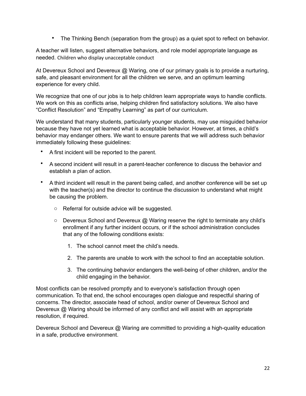• The Thinking Bench (separation from the group) as a quiet spot to reflect on behavior.

A teacher will listen, suggest alternative behaviors, and role model appropriate language as needed. Children who display unacceptable conduct

At Devereux School and Devereux @ Waring, one of our primary goals is to provide a nurturing, safe, and pleasant environment for all the children we serve, and an optimum learning experience for every child.

We recognize that one of our jobs is to help children learn appropriate ways to handle conflicts. We work on this as conflicts arise, helping children find satisfactory solutions. We also have "Conflict Resolution" and "Empathy Learning" as part of our curriculum.

We understand that many students, particularly younger students, may use misguided behavior because they have not yet learned what is acceptable behavior. However, at times, a child's behavior may endanger others. We want to ensure parents that we will address such behavior immediately following these guidelines:

- A first incident will be reported to the parent.
- A second incident will result in a parent-teacher conference to discuss the behavior and establish a plan of action.
- A third incident will result in the parent being called, and another conference will be set up with the teacher(s) and the director to continue the discussion to understand what might be causing the problem.
	- o Referral for outside advice will be suggested.
	- $\circ$  Devereux School and Devereux  $\omega$  Waring reserve the right to terminate any child's enrollment if any further incident occurs, or if the school administration concludes that any of the following conditions exists:
		- 1. The school cannot meet the child's needs.
		- 2. The parents are unable to work with the school to find an acceptable solution.
		- 3. The continuing behavior endangers the well-being of other children, and/or the child engaging in the behavior.

Most conflicts can be resolved promptly and to everyone's satisfaction through open communication. To that end, the school encourages open dialogue and respectful sharing of concerns. The director, associate head of school, and/or owner of Devereux School and Devereux @ Waring should be informed of any conflict and will assist with an appropriate resolution, if required.

Devereux School and Devereux @ Waring are committed to providing a high-quality education in a safe, productive environment.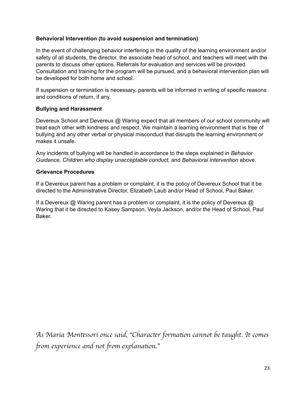#### <span id="page-22-0"></span>**Behavioral Intervention (to avoid suspension and termination)**

In the event of challenging behavior interfering in the quality of the learning environment and/or safety of all students, the director, the associate head of school, and teachers will meet with the parents to discuss other options. Referrals for evaluation and services will be provided. Consultation and training for the program will be pursued, and a behavioral intervention plan will be developed for both home and school.

If suspension or termination is necessary, parents will be informed in writing of specific reasons and conditions of return, if any.

#### <span id="page-22-1"></span>**Bullying and Harassment**

Devereux School and Devereux @ Waring expect that all members of our school community will treat each other with kindness and respect. We maintain a learning environment that is free of bullying and any other verbal or physical misconduct that disrupts the learning environment or makes it unsafe.

Any incidents of bullying will be handled in accordance to the steps explained in *Behavior Guidance, Children who display unacceptable conduct,* and *Behavioral Intervention* above.

#### <span id="page-22-2"></span>**Grievance Procedures**

If a Devereux parent has a problem or complaint, it is the policy of Devereux School that it be directed to the Administrative Director, Elizabeth Laub and/or Head of School, Paul Baker.

If a Devereux @ Waring parent has a problem or complaint, it is the policy of Devereux @ Waring that it be directed to Kasey Sampson, Veyla Jackson, and/or the Head of School, Paul Baker.

*As Maria Mon*t*ssori once said,* "*Charac*t*r forma*t*on cannot be taught. It comes*  f*om experience and not* f*om explana*t*on.*"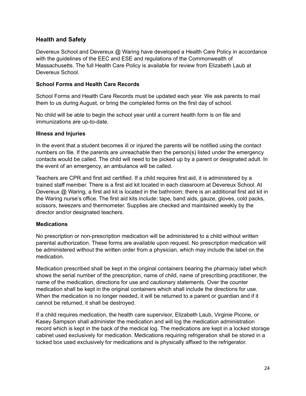#### <span id="page-23-0"></span>**Health and Safety**

Devereux School and Devereux @ Waring have developed a Health Care Policy in accordance with the guidelines of the EEC and ESE and regulations of the Commonwealth of Massachusetts. The full Health Care Policy is available for review from Elizabeth Laub at Devereux School.

#### <span id="page-23-1"></span>**School Forms and Health Care Records**

School Forms and Health Care Records must be updated each year. We ask parents to mail them to us during August, or bring the completed forms on the first day of school.

No child will be able to begin the school year until a current health form is on file and immunizations are up-to-date.

#### <span id="page-23-2"></span>**Illness and Injuries**

In the event that a student becomes ill or injured the parents will be notified using the contact numbers on file. If the parents are unreachable then the person(s) listed under the emergency contacts would be called. The child will need to be picked up by a parent or designated adult. In the event of an emergency, an ambulance will be called.

Teachers are CPR and first aid certified. If a child requires first aid, it is administered by a trained staff member. There is a first aid kit located in each classroom at Devereux School. At Devereux @ Waring, a first aid kit is located in the bathroom; there is an additional first aid kit in the Waring nurse's office. The first aid kits include: tape, band aids, gauze, gloves, cold packs, scissors, tweezers and thermometer. Supplies are checked and maintained weekly by the director and/or designated teachers.

#### <span id="page-23-3"></span>**Medications**

No prescription or non-prescription medication will be administered to a child without written parental authorization. These forms are available upon request. No prescription medication will be administered without the written order from a physician, which may include the label on the medication.

Medication prescribed shall be kept in the original containers bearing the pharmacy label which shows the serial number of the prescription, name of child, name of prescribing practitioner, the name of the medication, directions for use and cautionary statements. Over the counter medication shall be kept in the original containers which shall include the directions for use. When the medication is no longer needed, it will be returned to a parent or guardian and if it cannot be returned, it shall be destroyed.

If a child requires medication, the health care supervisor, Elizabeth Laub, Virginie Picone, or Kasey Sampson shall administer the medication and will log the medication administration record which is kept in the back of the medical log. The medications are kept in a locked storage cabinet used exclusively for medication. Medications requiring refrigeration shall be stored in a locked box used exclusively for medications and is physically affixed to the refrigerator.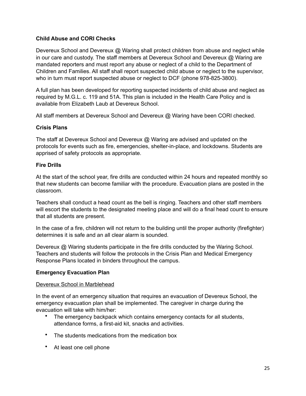#### <span id="page-24-0"></span>**Child Abuse and CORI Checks**

Devereux School and Devereux @ Waring shall protect children from abuse and neglect while in our care and custody. The staff members at Devereux School and Devereux @ Waring are mandated reporters and must report any abuse or neglect of a child to the Department of Children and Families. All staff shall report suspected child abuse or neglect to the supervisor, who in turn must report suspected abuse or neglect to DCF (phone 978-825-3800).

A full plan has been developed for reporting suspected incidents of child abuse and neglect as required by M.G.L. c. 119 and 51A. This plan is included in the Health Care Policy and is available from Elizabeth Laub at Devereux School.

All staff members at Devereux School and Devereux @ Waring have been CORI checked.

#### <span id="page-24-1"></span>**Crisis Plans**

The staff at Devereux School and Devereux @ Waring are advised and updated on the protocols for events such as fire, emergencies, shelter-in-place, and lockdowns. Students are apprised of safety protocols as appropriate.

#### **Fire Drills**

At the start of the school year, fire drills are conducted within 24 hours and repeated monthly so that new students can become familiar with the procedure. Evacuation plans are posted in the classroom.

Teachers shall conduct a head count as the bell is ringing. Teachers and other staff members will escort the students to the designated meeting place and will do a final head count to ensure that all students are present.

In the case of a fire, children will not return to the building until the proper authority (firefighter) determines it is safe and an all clear alarm is sounded.

Devereux @ Waring students participate in the fire drills conducted by the Waring School. Teachers and students will follow the protocols in the Crisis Plan and Medical Emergency Response Plans located in binders throughout the campus.

#### **Emergency Evacuation Plan**

#### Devereux School in Marblehead

In the event of an emergency situation that requires an evacuation of Devereux School, the emergency evacuation plan shall be implemented. The caregiver in charge during the evacuation will take with him/her:

- The emergency backpack which contains emergency contacts for all students, attendance forms, a first-aid kit, snacks and activities.
- The students medications from the medication box
- At least one cell phone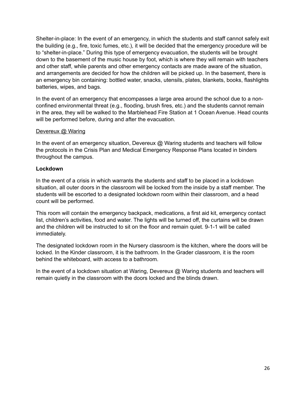Shelter-in-place: In the event of an emergency, in which the students and staff cannot safely exit the building (e.g., fire, toxic fumes, etc.), it will be decided that the emergency procedure will be to "shelter-in-place." During this type of emergency evacuation, the students will be brought down to the basement of the music house by foot, which is where they will remain with teachers and other staff, while parents and other emergency contacts are made aware of the situation, and arrangements are decided for how the children will be picked up. In the basement, there is an emergency bin containing: bottled water, snacks, utensils, plates, blankets, books, flashlights batteries, wipes, and bags.

In the event of an emergency that encompasses a large area around the school due to a nonconfined environmental threat (e.g., flooding, brush fires, etc.) and the students cannot remain in the area, they will be walked to the Marblehead Fire Station at 1 Ocean Avenue. Head counts will be performed before, during and after the evacuation.

#### Devereux @ Waring

In the event of an emergency situation, Devereux  $\mathcal Q$  Waring students and teachers will follow the protocols in the Crisis Plan and Medical Emergency Response Plans located in binders throughout the campus.

#### **Lockdown**

In the event of a crisis in which warrants the students and staff to be placed in a lockdown situation, all outer doors in the classroom will be locked from the inside by a staff member. The students will be escorted to a designated lockdown room within their classroom, and a head count will be performed.

This room will contain the emergency backpack, medications, a first aid kit, emergency contact list, children's activities, food and water. The lights will be turned off, the curtains will be drawn and the children will be instructed to sit on the floor and remain quiet. 9-1-1 will be called immediately.

The designated lockdown room in the Nursery classroom is the kitchen, where the doors will be locked. In the Kinder classroom, it is the bathroom. In the Grader classroom, it is the room behind the whiteboard, with access to a bathroom.

In the event of a lockdown situation at Waring, Devereux @ Waring students and teachers will remain quietly in the classroom with the doors locked and the blinds drawn.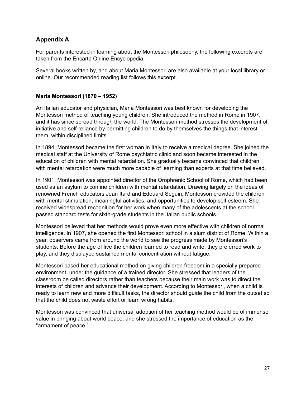#### <span id="page-26-0"></span>**Appendix A**

For parents interested in learning about the Montessori philosophy, the following excerpts are taken from the Encarta Online Encyclopedia.

Several books written by, and about Maria Montessori are also available at your local library or online. Our recommended reading list follows this excerpt.

#### <span id="page-26-1"></span>**Maria Montessori (1870 – 1952)**

An Italian educator and physician, Maria Montessori was best known for developing the Montessori method of teaching young children. She introduced the method in Rome in 1907, and it has since spread through the world. The Montessori method stresses the development of initiative and self-reliance by permitting children to do by themselves the things that interest them, within disciplined limits.

In 1894, Montessori became the first woman in Italy to receive a medical degree. She joined the medical staff at the University of Rome psychiatric clinic and soon became interested in the education of children with mental retardation. She gradually became convinced that children with mental retardation were much more capable of learning than experts at that time believed.

In 1901, Montessori was appointed director of the Orophrenic School of Rome, which had been used as an asylum to confine children with mental retardation. Drawing largely on the ideas of renowned French educators Jean Itard and Edouard Seguin, Montessori provided the children with mental stimulation, meaningful activities, and opportunities to develop self esteem. She received widespread recognition for her work when many of the adolescents at the school passed standard tests for sixth-grade students in the Italian public schools.

Montessori believed that her methods would prove even more effective with children of normal intelligence. In 1907, she opened the first Montessori school in a slum district of Rome. Within a year, observers came from around the world to see the progress made by Montessori's students. Before the age of five the children learned to read and write, they preferred work to play, and they displayed sustained mental concentration without fatigue.

Montessori based her educational method on giving children freedom in a specially prepared environment, under the guidance of a trained director. She stressed that leaders of the classroom be called directors rather than teachers because their main work was to direct the interests of children and advance their development. According to Montessori, when a child is ready to learn new and more difficult tasks, the director should guide the child from the outset so that the child does not waste effort or learn wrong habits.

Montessori was convinced that universal adoption of her teaching method would be of immense value in bringing about world peace, and she stressed the importance of education as the "armament of peace."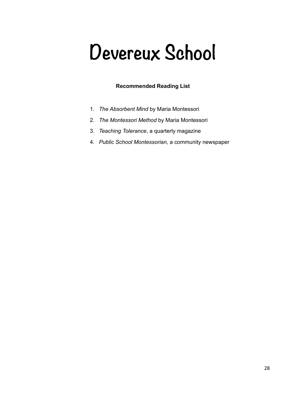# **Devereux School**

#### <span id="page-27-0"></span>**Recommended Reading List**

- 1. *The Absorbent Mind* by Maria Montessori
- 2. *The Montessori Method* by Maria Montessori
- 3. *Teaching Tolerance*, a quarterly magazine
- 4. *Public School Montessorian*, a community newspaper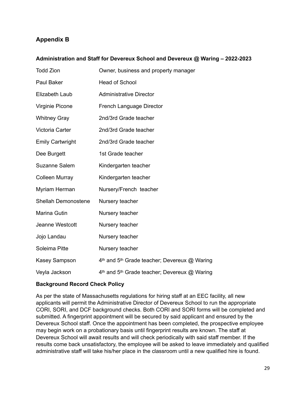#### <span id="page-28-0"></span>**Appendix B**

#### <span id="page-28-1"></span>**Administration and Staff for Devereux School and Devereux @ Waring – 2022-2023**

| <b>Todd Zion</b>        | Owner, business and property manager         |  |  |
|-------------------------|----------------------------------------------|--|--|
| Paul Baker              | <b>Head of School</b>                        |  |  |
| Elizabeth Laub          | <b>Administrative Director</b>               |  |  |
| Virginie Picone         | French Language Director                     |  |  |
| <b>Whitney Gray</b>     | 2nd/3rd Grade teacher                        |  |  |
| Victoria Carter         | 2nd/3rd Grade teacher                        |  |  |
| <b>Emily Cartwright</b> | 2nd/3rd Grade teacher                        |  |  |
| Dee Burgett             | 1st Grade teacher                            |  |  |
| Suzanne Salem           | Kindergarten teacher                         |  |  |
| <b>Colleen Murray</b>   | Kindergarten teacher                         |  |  |
| Myriam Herman           | Nursery/French teacher                       |  |  |
| Shellah Demonostene     | Nursery teacher                              |  |  |
| Marina Gutin            | Nursery teacher                              |  |  |
| Jeanne Westcott         | Nursery teacher                              |  |  |
| Jojo Landau             | Nursery teacher                              |  |  |
| Soleima Pitte           | Nursery teacher                              |  |  |
| <b>Kasey Sampson</b>    | 4th and 5th Grade teacher; Devereux @ Waring |  |  |
| Veyla Jackson           | 4th and 5th Grade teacher; Devereux @ Waring |  |  |

#### <span id="page-28-2"></span>**Background Record Check Policy**

As per the state of Massachusetts regulations for hiring staff at an EEC facility, all new applicants will permit the Administrative Director of Devereux School to run the appropriate CORI, SORI, and DCF background checks. Both CORI and SORI forms will be completed and submitted. A fingerprint appointment will be secured by said applicant and ensured by the Devereux School staff. Once the appointment has been completed, the prospective employee may begin work on a probationary basis until fingerprint results are known. The staff at Devereux School will await results and will check periodically with said staff member. If the results come back unsatisfactory, the employee will be asked to leave immediately and qualified administrative staff will take his/her place in the classroom until a new qualified hire is found.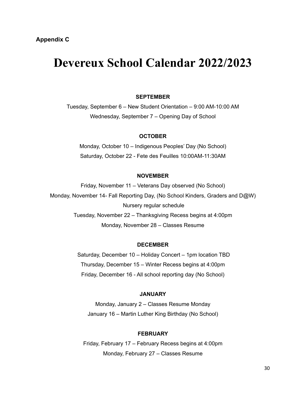## <span id="page-29-1"></span><span id="page-29-0"></span>**Devereux School Calendar 2022/2023**

#### **SEPTEMBER**

Tuesday, September 6 – New Student Orientation – 9:00 AM-10:00 AM Wednesday, September 7 – Opening Day of School

#### **OCTOBER**

Monday, October 10 – Indigenous Peoples' Day (No School) Saturday, October 22 - Fete des Feuilles 10:00AM-11:30AM

#### **NOVEMBER**

Friday, November 11 – Veterans Day observed (No School) Monday, November 14- Fall Reporting Day, (No School Kinders, Graders and D@W) Nursery regular schedule Tuesday, November 22 – Thanksgiving Recess begins at 4:00pm Monday, November 28 – Classes Resume

#### **DECEMBER**

 Saturday, December 10 – Holiday Concert – 1pm location TBD Thursday, December 15 – Winter Recess begins at 4:00pm Friday, December 16 - All school reporting day (No School)

#### **JANUARY**

Monday, January 2 – Classes Resume Monday January 16 – Martin Luther King Birthday (No School)

#### **FEBRUARY**

Friday, February 17 – February Recess begins at 4:00pm Monday, February 27 – Classes Resume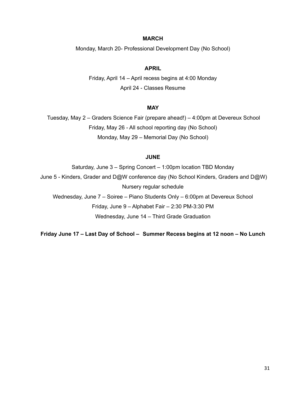#### **MARCH**

Monday, March 20- Professional Development Day (No School)

#### **APRIL**

Friday, April 14 – April recess begins at 4:00 Monday April 24 - Classes Resume

#### **MAY**

 Tuesday, May 2 – Graders Science Fair (prepare ahead!) – 4:00pm at Devereux School Friday, May 26 - All school reporting day (No School) Monday, May 29 – Memorial Day (No School)

#### **JUNE**

Saturday, June 3 – Spring Concert – 1:00pm location TBD Monday June 5 - Kinders, Grader and D@W conference day (No School Kinders, Graders and D@W) Nursery regular schedule Wednesday, June 7 – Soiree – Piano Students Only – 6:00pm at Devereux School Friday, June 9 – Alphabet Fair – 2:30 PM-3:30 PM Wednesday, June 14 – Third Grade Graduation

**Friday June 17 – Last Day of School – Summer Recess begins at 12 noon – No Lunch**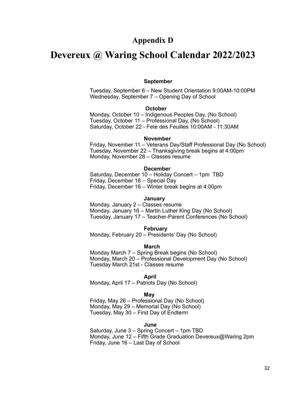#### **Appendix D**

#### **Devereux @ Waring School Calendar 2022/2023**

## **September**

Tuesday, September 6 – New Student Orientation 9:00AM-10:00PM Wednesday, September 7 – Opening Day of School

#### **October**

 Monday, October 10 – Indigenous Peoples Day, (No School) Tuesday, October 11 – Professional Day, (No School) Saturday, October 22 - Fete des Feuilles 10:00AM - 11:30AM

#### **November**

 Friday, November 11 – Veterans Day/Staff Professional Day (No School) Tuesday, November 22 – Thanksgiving break begins at 4:00pm Monday, November 28 – Classes resume

#### **December**

 Saturday, December 10 – Holiday Concert – 1pm TBD Friday, December 16 – Special Day Friday, December 16 – Winter break begins at 4:00pm

#### **January**

Monday, January 2 – Classes resume Monday, January 16 – Martin Luther King Day (No School) Tuesday, January 17 – Teacher-Parent Conferences (No School)

#### **February**

Monday, February 20 – Presidents' Day (No School)

#### **March**

 Monday March 7 – Spring Break begins (No School) Monday, March 20 – Professional Development Day (No School) Tuesday March 21st - Classes resume

#### **April**

Monday, April 17 – Patriots Day (No School)

#### **May**

 Friday, May 26 – Professional Day (No School) Monday, May 29 – Memorial Day (No School) Tuesday, May 30 – First Day of Endterm

#### *June 2006 - Alexander State Company of the United States State Company of the United States State Company of the United States States States States States States States States States States States States States States St*

Saturday, June 3 – Spring Concert – 1pm TBD Monday, June 12 – Fifth Grade Graduation Devereux@Waring 2pm Friday, June 16 – Last Day of School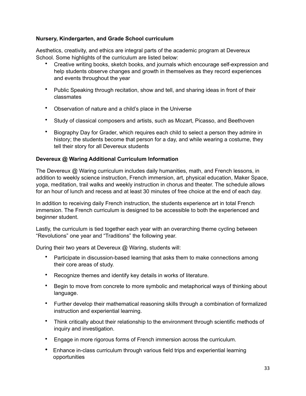#### <span id="page-32-0"></span>**Nursery, Kindergarten, and Grade School curriculum**

Aesthetics, creativity, and ethics are integral parts of the academic program at Devereux School. Some highlights of the curriculum are listed below:

- Creative writing books, sketch books, and journals which encourage self-expression and help students observe changes and growth in themselves as they record experiences and events throughout the year
- Public Speaking through recitation, show and tell, and sharing ideas in front of their classmates
- Observation of nature and a child's place in the Universe
- Study of classical composers and artists, such as Mozart, Picasso, and Beethoven
- Biography Day for Grader, which requires each child to select a person they admire in history; the students become that person for a day, and while wearing a costume, they tell their story for all Devereux students

#### <span id="page-32-1"></span>**Devereux @ Waring Additional Curriculum Information**

The Devereux @ Waring curriculum includes daily humanities, math, and French lessons, in addition to weekly science instruction, French immersion, art, physical education, Maker Space, yoga, meditation, trail walks and weekly instruction in chorus and theater. The schedule allows for an hour of lunch and recess and at least 30 minutes of free choice at the end of each day.

In addition to receiving daily French instruction, the students experience art in total French immersion. The French curriculum is designed to be accessible to both the experienced and beginner student.

Lastly, the curriculum is tied together each year with an overarching theme cycling between "Revolutions" one year and "Traditions" the following year.

During their two years at Devereux @ Waring, students will:

- Participate in discussion-based learning that asks them to make connections among their core areas of study.
- Recognize themes and identify key details in works of literature.
- Begin to move from concrete to more symbolic and metaphorical ways of thinking about language.
- Further develop their mathematical reasoning skills through a combination of formalized instruction and experiential learning.
- Think critically about their relationship to the environment through scientific methods of inquiry and investigation.
- Engage in more rigorous forms of French immersion across the curriculum.
- Enhance in-class curriculum through various field trips and experiential learning opportunities